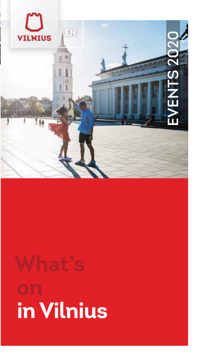

# in Vilnius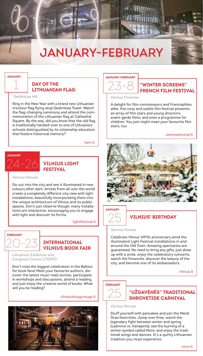## **JANUARY-FEBRUARY**

#### **JANUARY**

#### **DAY OF THE I TTHUANTAN FLAG**

Gediminas Hill

Ring in the New Year with a brand new Lithuanian tricolour flag flying atop Gediminas Tower. Watch the flag-changing ceremony and attend the commemoration of the Lithuanian flag at Cathedral Square. By the way, did you know that the old flag is traditionally handed-over to one of Lithuania's schools distinguished by its citizenship education that fosters historical memory?

kam It



 $\sqrt{2}$  VILNIUS LIGHT **FESTIVAL** 

#### Various Venues

Go out into the city and see it illuminated in new colours after dark. Artists from all over the world create a completely different city view with light installations, beautifully incorporating them into the unique architecture of Vilnius and its public spaces. Don't just observe though; many installations are interactive, encouraging you to engage with light and discover its forms.

lightfestival.lt

# FERRIJARY

#### **INTERNATIONAL VILNILIS BOOK FATR**

Lithuanian Exhibition and Congress Centre LITEXPO

Don't miss the biggest celebration in the Baltics for book fans! Meet your favourite authors, discover the latest must-read stories, participate in workshops and discussions, attend a reading, and just enjoy the creative world of books. What will you be reading?

#### vilniausknygumuge.lt





#### "WINTER SCREENS" **FRENCH FILM FESTIVAL**

Various Cinemas

A delight for film connoisseurs and Francophiles alike, this cosy and subtle film festival presents an array of film stars and young directors, avant-garde films, and even a programme for children. You just might meet vour favourite film stars, too.

ziemosekranai It



#### **JANIJADY**

Various Venues

Celebrate Vilnius' 697th anniversary amid the illuminated Light Festival installations in and around the Old Town. Amazing spectacles are guaranteed. No need to bring any gifts; just show up with a smile, enjoy the celebratory concerts, watch the fireworks, discover the beauty of the city, and become one of its ambassadors.

**VILNIUS' RIRTHDAY** 

vilnius It

#### **FEBRUARY**



**"UŽGAVĖNĖS" TRADITIONAL SHROVETIDE CARNIVAL** 

Various Venues

Stuff vourself with pancakes and join the Mardi Gras festivities. Jump over fires, watch the legendary fight between winter and spring (Lašininis vs. Kanapinis), see the burning of a winter symbol called More, and enjoy the traditional songs and dances. It's a guirky Lithuanian tradition you must experience.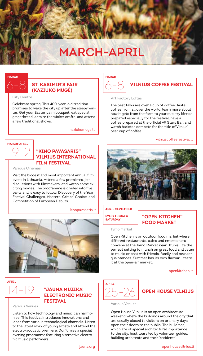# **MARCH-APRIL**

## **MARCH**



City Centre

Celebrate spring! This 400-year-old tradition promises to wake the city up after the sleepy winter. Get your Easter palm bouquet, eat special gingerbread, admire the wicker crafts, and attend a few traditional shows

kaziukomuge.lt

# **MARCH-APRIL**

#### "KINO PAVASARIS" **VILNIUS INTERNATIONAL FTI M FFSTTVAL**

Various Cinemas

Visit the biggest and most important annual film event in Lithuania. Attend a few premieres, join discussions with filmmakers, and watch some exciting movies. The programme is divided into five parts and is easy to follow: Discovery of the Year. Festival Challenges, Masters, Critics' Choice, and Competition of European Debuts.

#### kinopavasaris.lt



**ADDTI** 

#### "JAUNA MUZIKA" **ELECTRONIC MUSIC FESTIVAL**

Various Venues

Listen to how technology and music can harmonise. This festival introduces innovations and ideas from various technological channels. Listen to the latest work of young artists and attend the electro-acoustic premiere. Don't miss a special evening programme featuring alternative electronic music performers.



#### **VILNIUS COFFFF FESTIVAL**

#### Art Factory Loftas

The best talks are over a cup of coffee. Taste coffee from all over the world, learn more about how it gets from the farm to your cup, try blends prepared especially for the festival. have a coffee prepared at the official All Stars Bar, and watch baristas compete for the title of Vilnius' best cup of coffee.

#### vilniuscoffeefestival.lt



#### APRIL-SEPTEMBER

**EVEDY EDIDAY &** SATURDAY

#### "OPEN KITCHEN" **FOOD MARKET**

Tymo Market

Open Kitchen is an outdoor food market where different restaurants, cafes and entertainers convene at the Tymo Market near Užupis. It's the perfect setting to munch on great food and listen to music or chat with friends, family and new acquaintances. Summer has its own flavour - taste it at the open-air market.

openkitchen.lt



#### **OPEN HOUSE VILNIUS**

Various Venues

Open House Vilnius is an open architecture weekend where the buildings around the city that are usually closed to visitors on ordinary days open their doors to the public. The buildings. which are of special architectural importance to the city, host tours led by volunteer quides, building architects and their 'residents'.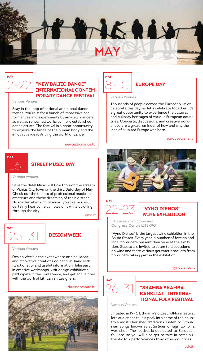

#### "NEW BALTIC DANCE" **INTERNATIONAL CONTEM-PORARY DANCE FESTIVAL**

Various Venues

Stay in the loop of national and global dance trends. You're in for a bunch of impressive performances and experiments by amateur dancers, as well as renowned works by more established dance artists. The festival is a great opportunity to explore the limits of the human body and the innovative ideas driving the world of dance.

newhaltiodance It

## **MAY**

#### **STREET MUSIC DAY**

Various Venues

Save the date! Music will flow through the streets of Vilnius Old Town on the third Saturday of May. Check out the talents of professional musicians, amateurs and those dreaming of the big stage. No matter what kind of music you like, you will certainly hear some samples of it while strolling through the city.

gmd.lt



#### **DESIGN WEEK**

Various Venues

Design Week is the event where original ideas and innovative creations go hand-in-hand with functionality and useful information. Take part in creative workshops, visit design exhibitions, participate in the conference, and get acquainted with the work of Lithuanian designers.

dizajnosavajte.lt





#### Various Venues

Thousands of people across the European Union celebrate this day so let's celebrate together It's a great opportunity to experience the cultural and culinary heritages of various European countries. Concerts, discussions, and creative workshops are a great reminder of how and why the idea of a united Europe was born.

europosdiena.lt





#### "VYNO DIENOS" **WINF FXHIRITION**

Lithuanian Exhibition and Congress Centre LITEXPO

"Vyno Dienos" is the largest wine exhibition in the Baltic States. Every year, a number of foreign and local producers present their wine at the exhibition. Guests are invited to listen to discussions on wine and taste various gourmet products from producers taking part in the exhibition

vynodienos.lt



#### "SKAMBA SKAMBA **KANKLIAI" INTERNA-**TIONAL FOLK FESTIVAL

Various Venues

Initiated in 1973. Lithuania's oldest folklore festival lets audiences take a peak into some of the country's most cherished traditions. Listen to Lithuanian songs known as sutartines or sign up for a workshop. The festival is dedicated to European folklore, so you will also get to take in some authentic folk performances from other countries.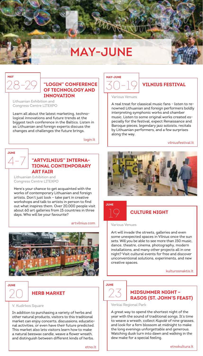## **MAY-JUNE**

#### "I OGIN" CONFERENCE OF TECHNOLOGY AND **INNOVATION**

Lithuanian Exhibition and Congress Centre LITEXPO

Learn all about the latest marketing, technological innovations and future trends at the biggest tech conference in the Baltics. Listen in as Lithuanian and foreign experts discuss the changes and challenges the future brings.

login.lt

#### **JUNE**

#### "ARTVILNIUS" INTERNA-**TIONAL CONTEMPORARY ART FAIR**

Lithuanian Exhibition and Congress Centre LITEXPO

Here's your chance to get acquainted with the works of contemporary Lithuanian and foreign artists. Don't just look - take part in creative workshops and talk to artists in person to find out what inspires them. Over 20,000 people visit about 60 art galleries from 15 countries in three days. Who will be your favourite?

#### artvilnius com



#### **JUNE**

#### **HERB MARKET**

#### V. Kudirkos Square

In addition to purchasing a variety of herbs and other natural products, visitors to this traditional market can enjoy concerts, discussions, educational activities, or even have their future predicted. This market also lets visitors learn how to make a natural beeswax candle, weave a flower wreath, and distinguish between different kinds of herbs.



#### **VILNIUS FESTIVAL**

Various Venues

A real treat for classical music fans - listen to renowned Lithuanian and foreign performers holdly interpreting symphonic works and chamber music. Listen to some original works created especially for the festival, expect Renaissance and Baroque pieces, legendary jazz soloists, recitals by Lithuanian performers, and a few surprises along the way.

vilniusfestival.lt





#### **CULTURE NIGHT**

Various Venues

Art will invade the streets, galleries and even some unexpected spaces in Vilnius once the sun sets. Will you be able to see more than 150 music, dance, theatre, cinema, photography, modern installations, and many other projects all in one night? Visit cultural events for free and discover unconventional solutions, experiments, and new creative spaces

kulturosnaktis.lt

#### **JUNE**



**MIDSUMMER NIGHT-RASOS (ST. JOHN'S FEAST)** 

Verkiai Regional Park

A great way to spend the shortest night of the year with the sound of traditional songs. It's time to weave a wreath, collect Kupole of nine grasses, and look for a fern blossom at midnight to make the long evenings unforgettable and generous. Watching dusk turn into dawn and walking in the dew make for a special feeling.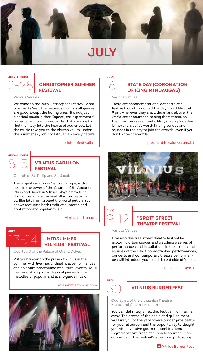

## $2 - 28$ **JULY-AUGUST**

#### **CHRISTOPHER SUMMER FESTIVAL**

Various Venues

Welcome to the 26th Christopher Festival. What to expect? Well, the festival's motto is all genres are good except the boring ones. It's not just classical music, either. Expect jazz, experimental projects, and traditional works that are sure to find their way into the hearts of audiences. Let the music take you to the church vaults, under the summer sky, or into Lithuania's lovely nature.

#### kristupofestivalis.lt



#### **VILNIUS CARILLON FESTIVAL**

Church of St. Philip and St. Jacob

The largest carillon in Central Europe, with 61 bells in the tower of the Church of St. Apostles Philip and Jacob in Vilnius, plays a new tune during this annual festival. Plus, professional carillonists from around the world put on free shows featuring both traditional sacred and contemporary popular music.

vilniauskarilionas.lt

## ...<br>13-24 **JULY**

#### **"MIDSUMMER VILNIUS" FESTIVAL**

Courtyard of the Palace of Grand Dukes

Put your finger on the pulse of Vilnius in the summer with live music, theatrical performances, and an entire programme of cultural events. You'll hear everything from classical pieces to the melodies of popular and avant-garde music.

midsummervilnius com



6 **JULY**

#### **STATE DAY (CORONATION OF KING MINDAUGAS)**

Various Venues

There are commemorations, concerts and festive tours throughout the day. In addition, at 9 pm, wherever they are, Lithuanians all over the world are encouraged to sing the national anthem for the sake of unity. Plus, singing together is more fun, so it's worth finding venues and squares in the city to join the crowds, even if you don't know the words.

#### president.lt, valdovurumai.lt





#### **"SPOT" STREET THEATRE FESTIVAL**

Various Venues

Dive into this free street theatre festival by exploring urban spaces and watching a series of performances and installations in the streets and squares of the city. Choreographed performances, concerts and contemporary theatre performances will introduce you to a different side of Vilnius.

menuspaustuve.lt

### 30 **JULY**

#### **VILNIUS BURGER FEST**

Courtyard of the Lithuanian Theatre, Music, and Cinema Museum

You can definitely smell this festival from far, far away. The aroma of the coals and grilled meat will lure you to the yard where burger pros battle for your attention and the opportunity to delight you with inventive gourmet combinations. Ingredients are fresh and locally sourced in accordance to the festival's slow food philosophy.

**17** Vilnius Burger Fest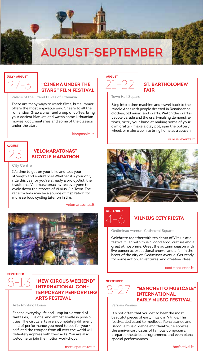# **AUGUST-SEPTEMBER**

#### **JULY - AUGUST**

AUGUST

City Centre

#### **"CINEMA UNDER THE STARS" FILM FESTIVAL**

Palace of the Grand Dukes of Lithuania

There are many ways to watch films, but summer offers the most enjoyable way. Cheers to all the romantics. Grab a chair and a cup of coffee, bring your cosiest blanket, and watch some Lithuanian movies, documentaries and some of the classics under the stars

> "VFI OMARATONAS" **BICYCLE MARATHON**

It's time to get on your bike and test your strength and endurance! Whether it's your only ride this year or you're already a pro cyclist, the traditional Velomaratonas invites everyone to cycle down the streets of Vilnius Old Town The race for kids may be a source of inspiration for more serious cycling later on in life.

kinopasaka.lt

velomaratonas.lt



#### **ST. BARTHOLOMEW FATR**

Town Hall Square

Step into a time machine and travel back to the Middle Ages with people dressed in Renaissance clothes, old music and crafts. Watch the craftspeople parade and the craft-making demonstrations, or try your hand at making some of your own crafts - make a clay pot, spin the pottery wheel, or make a coin to bring home as a souvenir.

vilnius-events It



#### **SEPTEMBER**



#### **VILNIUS CITY FIESTA**

Gediminas Avenue, Cathedral Square

Celebrate together with residents of Vilnius at a festival filled with music, good food, culture and a great atmosphere. Greet the autumn season with live concerts, exceptional shows, and a fair in the heart of the city on Gediminas Avenue. Get ready for some action, adventures, and creative ideas.

sostinesdienos It

#### "NEW CIRCUS WEEKEND" **SEPTEMBER INTERNATIONAL CON-TEMPORARY PERFORMING ARTS FESTIVAL**

Arts Printing House

**SEPTEMBER** 

Escape everyday life and jump into a world of fantasies, illusions, and almost limitless possibilities. The circus arts are a completely different kind of performance you need to see for yourself, and the troupes from all over the world will definitely impress with their acts. You are also welcome to join the motion workshops.

#### "RANCHETTO MUSICALE" **INTERNATIONAL EARLY MUSIC FESTIVAL**

Various Venues

It's not often that you get to hear the most beautiful pieces of early music in Vilnius. The festival dedicated to medieval. Renaissance and Baroque music, dance and theatre, celebrates the anniversary dates of famous composers prepares theatrical programmes, and even plans special performances.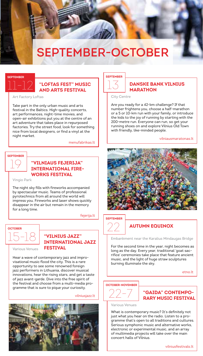## **SEPTEMBER-OCTOBER**

#### SEDTEMBED

#### "LOFTAS FEST" MUSIC AND ARTS FESTIVAL

Art Factory Loftas

Take part in the only urban music and arts festival in the Baltics. High-quality concerts, art performances, night-time movies, and open-air exhibitions put you at the centre of an art adventure that takes place in repurposed factories. Try the street food, look for something nice from local designers, or find a vinyl at the night market.

menufabrikas.lt

#### **SEPTEMBER**



Vingio Park

The night sky fills with fireworks accompanied by spectacular music. Teams of professional pyrotechnics from all around the world will impress you. Fireworks and laser shows quickly disappear in the air but remain in the memory for a long time.

fejerija.lt



Various Venues

#### "VILNIUS JAZZ" **INTERNATIONAL JAZZ FESTIVAL**

Hear a wave of contemporary jazz and improvisational music flood the city. This is a rare opportunity to see some renowned foreion jazz performers in Lithuania, discover musical innovations, hear the rising stars, and get a taste of jazz avant-garde. Dive into the free spirit of the festival and choose from a multi-media programme that is sure to pique your curiosity.

vilniusiazz It



#### **SEPTEMBER**

#### **DANSKE BANK VILNIUS ΜΔΡΑΤΗΩΝ**

City Centre

Are you ready for a 42-km challenge? If that number frightens you, choose a half-marathon or a 5 or 10-km run with your family, or introduce the kids to the joy of running by starting with the 200-metre run. Evervone can run, so get your running shoes on and explore Vilnius Old Town with friendly, like-minded people.

vilniausmaratonas.lt



#### **SEPTEMBER**

#### **AUTUMN FOUTNOX**

Embankment near the Karalius Mindaugas Bridge

For the second time in the year, night becomes as long as the day. Every year, traditional 'goat sacrifice' ceremonies take place that feature ancient music, and the light of huge straw sculptures burning illuminate the sky.

etno.lt

#### **OCTOBER-NOVEMBER**

"GAIDA" CONTEMPO-**RARY MUSIC FESTIVAL** 

Various Venues

What is contemporary music? It's definitely not just what you hear on the radio. Listen to a programme that's open to all traditions and cultures.<br>Serious symphonic music and alternative works. electronic or experimental music, and an array of multimedia projects will take over the main concert halls of Vilnius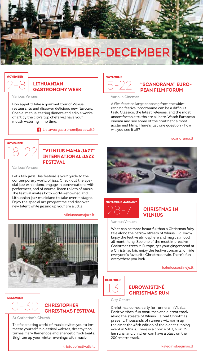# NOVEMBER-DECEMBER

#### **NOVEMBER**

#### **LITHUANIAN GASTRONOMY WEEK**

Various Venues

Bon appétit! Take a gourmet tour of Vilnius' restaurants and discover delicious new flavours. Special menus, tasting dinners and edible works of art by the city's top chefs will have your mouth watering in no time.

<sup>4</sup> Lietuvos gastronomijos savaitė

#### **NOVEMBED**

#### "VILNIUS MAMA JAZZ" **INTERNATIONAL JAZZ FESTIVAL**

Various Venues

Let's talk jazz! This festival is your guide to the<br>contemporary world of jazz. Check out the special jazz exhibitions, engage in conversations with performers and of course listen to lots of music The festival invites both world-renowned and Lithuanian jazz musicians to take over it stages. Eniov the special art programme and discover new talent while jazzing up your life a little.

#### vilniusmamajazz.lt



#### **DECEMBER**

#### **CHRISTOPHER CHRISTMAS FESTIVAL**

St Catherine's Church

The fascinating world of music invites you to immerse yourself in classical waltzes, dreamy nocturnes, fiery flamencos and energetic rock beats. Brighten up your winter evenings with music.

kristupofestivalis.lt

#### **NOVEMBER**

#### "SCANORAMA" FURO-**PEAN FILM FORUM**

Various Cinemas

A film feast so large choosing from the wideranging festival programme can be a difficult task. Classics, the latest releases, and the most uncomfortable truths are all here. Watch European cinema and see some of the continent's most acclaimed films. There's just one question - how will you see it all?

scanorama.lt





#### **CHRISTMAS IN VII NILIS**

Various Venues

What can be more beautiful than a Christmas fairy tale along the narrow streets of Vilnius Old Town? Enjoy the festive atmosphere and magical mood all month long. See one of the most impressive Christmas trees in Europe, get your gingerbread at a Christmas fair, enjoy the festive concerts, or ride everyone's favourite Christmas train. There's fun everywhere you look.

kaledossostineie.lt

#### **DECEMBER**

#### **FUROVATSTINĖ CHRISTMAS RUN**

City Centre

Christmas comes early for runners in Vilnius. Positive vibes, fun costumes and a great track along the streets of Vilnius - a real Christmas present. Thousands of runners will warm up the air at the 45th edition of the oldest running event in Vilnius. There is a choice of 3, 6 or 12km runs, and children can have a blast on the  $200$ -metre track